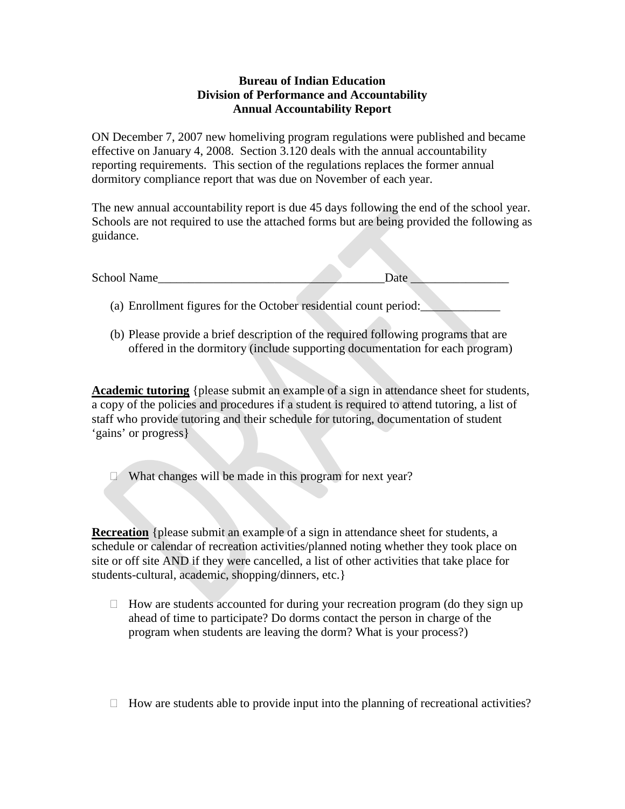## **Bureau of Indian Education Division of Performance and Accountability Annual Accountability Report**

ON December 7, 2007 new homeliving program regulations were published and became effective on January 4, 2008. Section 3.120 deals with the annual accountability reporting requirements. This section of the regulations replaces the former annual dormitory compliance report that was due on November of each year.

The new annual accountability report is due 45 days following the end of the school year. Schools are not required to use the attached forms but are being provided the following as guidance.

| School Name                                                      | Date |
|------------------------------------------------------------------|------|
|                                                                  |      |
| (a) Enrollment figures for the October residential count period: |      |

(b) Please provide a brief description of the required following programs that are offered in the dormitory (include supporting documentation for each program)

**Academic tutoring** {please submit an example of a sign in attendance sheet for students, a copy of the policies and procedures if a student is required to attend tutoring, a list of staff who provide tutoring and their schedule for tutoring, documentation of student 'gains' or progress}

What changes will be made in this program for next year?

**Recreation** {please submit an example of a sign in attendance sheet for students, a schedule or calendar of recreation activities/planned noting whether they took place on site or off site AND if they were cancelled, a list of other activities that take place for students-cultural, academic, shopping/dinners, etc.}

- $\Box$  How are students accounted for during your recreation program (do they sign up ahead of time to participate? Do dorms contact the person in charge of the program when students are leaving the dorm? What is your process?)
- $\Box$  How are students able to provide input into the planning of recreational activities?